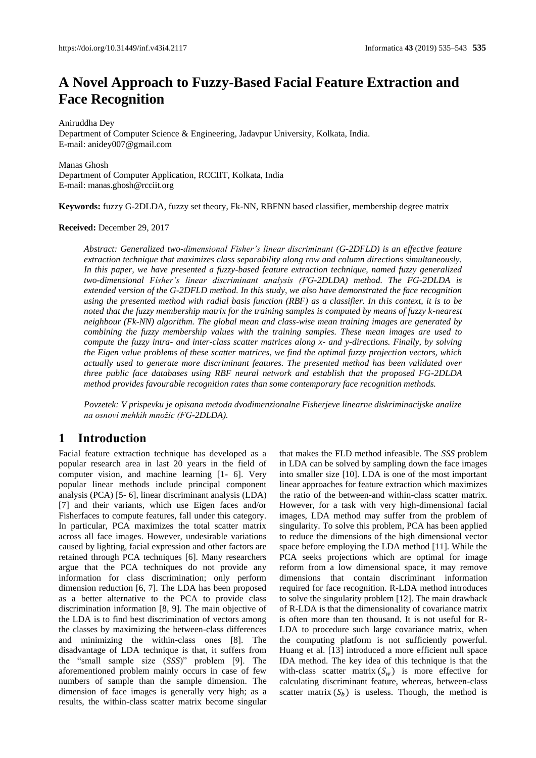# **A Novel Approach to Fuzzy-Based Facial Feature Extraction and Face Recognition**

Aniruddha Dey

Department of Computer Science & Engineering, Jadavpur University, Kolkata, India. E-mail: anidey007@gmail.com

Manas Ghosh Department of Computer Application, RCCIIT, Kolkata, India E-mail[: manas.ghosh@rcciit.org](mailto:manas.ghosh@rcciit.org)

**Keywords:** fuzzy G-2DLDA, fuzzy set theory, Fk-NN, RBFNN based classifier, membership degree matrix

#### **Received:** December 29, 2017

*Abstract: Generalized two-dimensional Fisher's linear discriminant (G-2DFLD) is an effective feature extraction technique that maximizes class separability along row and column directions simultaneously. In this paper, we have presented a fuzzy-based feature extraction technique, named fuzzy generalized two-dimensional Fisher's linear discriminant analysis (FG-2DLDA) method. The FG-2DLDA is extended version of the G-2DFLD method. In this study, we also have demonstrated the face recognition using the presented method with radial basis function (RBF) as a classifier. In this context, it is to be noted that the fuzzy membership matrix for the training samples is computed by means of fuzzy k-nearest neighbour (Fk-NN) algorithm. The global mean and class-wise mean training images are generated by combining the fuzzy membership values with the training samples. These mean images are used to compute the fuzzy intra- and inter-class scatter matrices along x- and y-directions. Finally, by solving the Eigen value problems of these scatter matrices, we find the optimal fuzzy projection vectors, which actually used to generate more discriminant features. The presented method has been validated over three public face databases using RBF neural network and establish that the proposed FG-2DLDA method provides favourable recognition rates than some contemporary face recognition methods.*

*Povzetek: V prispevku je opisana metoda dvodimenzionalne Fisherjeve linearne diskriminacijske analize na osnovi mehkih množic (FG-2DLDA).*

### **1 Introduction**

Facial feature extraction technique has developed as a popular research area in last 20 years in the field of computer vision, and machine learning [1- 6]. Very popular linear methods include principal component analysis (PCA) [5- 6], linear discriminant analysis (LDA) [7] and their variants, which use Eigen faces and/or Fisherfaces to compute features, fall under this category. In particular, PCA maximizes the total scatter matrix across all face images. However, undesirable variations caused by lighting, facial expression and other factors are retained through PCA techniques [6]. Many researchers argue that the PCA techniques do not provide any information for class discrimination; only perform dimension reduction [6, 7]. The LDA has been proposed as a better alternative to the PCA to provide class discrimination information [8, 9]. The main objective of the LDA is to find best discrimination of vectors among the classes by maximizing the between-class differences and minimizing the within-class ones [8]. The disadvantage of LDA technique is that, it suffers from the "small sample size (*SSS*)" problem [9]. The aforementioned problem mainly occurs in case of few numbers of sample than the sample dimension. The dimension of face images is generally very high; as a results, the within-class scatter matrix become singular

that makes the FLD method infeasible. The *SSS* problem in LDA can be solved by sampling down the face images into smaller size [10]. LDA is one of the most important linear approaches for feature extraction which maximizes the ratio of the between-and within-class scatter matrix. However, for a task with very high-dimensional facial images, LDA method may suffer from the problem of singularity. To solve this problem, PCA has been applied to reduce the dimensions of the high dimensional vector space before employing the LDA method [11]. While the PCA seeks projections which are optimal for image reform from a low dimensional space, it may remove dimensions that contain discriminant information required for face recognition. R-LDA method introduces to solve the singularity problem [12]. The main drawback of R-LDA is that the dimensionality of covariance matrix is often more than ten thousand. It is not useful for R-LDA to procedure such large covariance matrix, when the computing platform is not sufficiently powerful. Huang et al. [13] introduced a more efficient null space IDA method. The key idea of this technique is that the with-class scatter matrix  $(S_w)$  is more effective for calculating discriminant feature, whereas, between-class scatter matrix  $(S_h)$  is useless. Though, the method is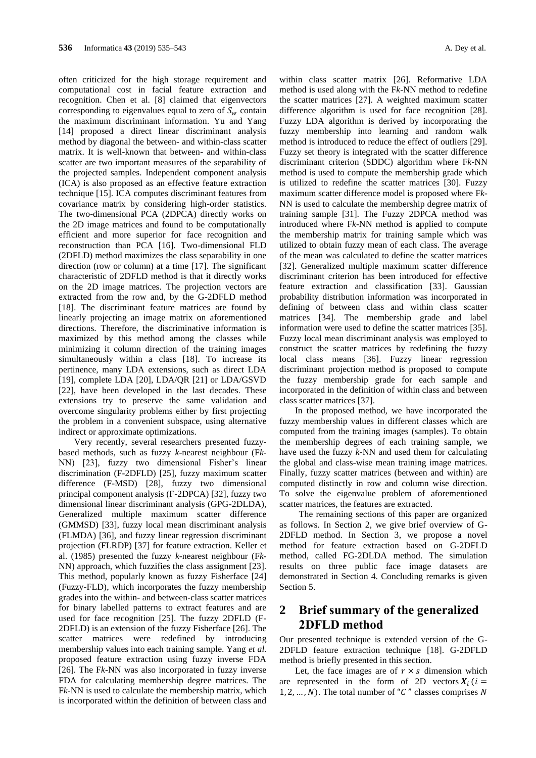often criticized for the high storage requirement and computational cost in facial feature extraction and recognition. Chen et al. [8] claimed that eigenvectors corresponding to eigenvalues equal to zero of  $S_w$  contain the maximum discriminant information. Yu and Yang [14] proposed a direct linear discriminant analysis method by diagonal the between- and within-class scatter matrix. It is well-known that between- and within-class scatter are two important measures of the separability of the projected samples. Independent component analysis (ICA) is also proposed as an effective feature extraction technique [15]. ICA computes discriminant features from covariance matrix by considering high-order statistics. The two-dimensional PCA (2DPCA) directly works on the 2D image matrices and found to be computationally efficient and more superior for face recognition and reconstruction than PCA [16]. Two-dimensional FLD (2DFLD) method maximizes the class separability in one direction (row or column) at a time [17]. The significant characteristic of 2DFLD method is that it directly works on the 2D image matrices. The projection vectors are extracted from the row and, by the G-2DFLD method [18]. The discriminant feature matrices are found by linearly projecting an image matrix on aforementioned directions. Therefore, the discriminative information is maximized by this method among the classes while minimizing it column direction of the training images simultaneously within a class [18]. To increase its pertinence, many LDA extensions, such as direct LDA [19], complete LDA [20], LDA/QR [21] or LDA/GSVD [22], have been developed in the last decades. These extensions try to preserve the same validation and overcome singularity problems either by first projecting the problem in a convenient subspace, using alternative indirect or approximate optimizations.

Very recently, several researchers presented fuzzybased methods, such as fuzzy *k*-nearest neighbour (F*k*-NN) [23], fuzzy two dimensional Fisher's linear discrimination (F-2DFLD) [25], fuzzy maximum scatter difference (F-MSD) [28], fuzzy two dimensional principal component analysis (F-2DPCA) [32], fuzzy two dimensional linear discriminant analysis (GPG-2DLDA), Generalized multiple maximum scatter difference (GMMSD) [33], fuzzy local mean discriminant analysis (FLMDA) [36], and fuzzy linear regression discriminant projection (FLRDP) [37] for feature extraction. Keller et al. (1985) presented the fuzzy *k-*nearest neighbour (F*k*-NN) approach, which fuzzifies the class assignment [23]. This method, popularly known as fuzzy Fisherface [24] (Fuzzy-FLD), which incorporates the fuzzy membership grades into the within- and between-class scatter matrices for binary labelled patterns to extract features and are used for face recognition [25]. The fuzzy 2DFLD (F-2DFLD) is an extension of the fuzzy Fisherface [26]. The scatter matrices were redefined by introducing membership values into each training sample. Yang *et al.* proposed feature extraction using fuzzy inverse FDA [26]. The F*k*-NN was also incorporated in fuzzy inverse FDA for calculating membership degree matrices. The F*k*-NN is used to calculate the membership matrix, which is incorporated within the definition of between class and

within class scatter matrix [26]. Reformative LDA method is used along with the F*k*-NN method to redefine the scatter matrices [27]. A weighted maximum scatter difference algorithm is used for face recognition [28]. Fuzzy LDA algorithm is derived by incorporating the fuzzy membership into learning and random walk method is introduced to reduce the effect of outliers [29]. Fuzzy set theory is integrated with the scatter difference discriminant criterion (SDDC) algorithm where F*k*-NN method is used to compute the membership grade which is utilized to redefine the scatter matrices [30]. Fuzzy maximum scatter difference model is proposed where F*k*-NN is used to calculate the membership degree matrix of training sample [31]. The Fuzzy 2DPCA method was introduced where F*k*-NN method is applied to compute the membership matrix for training sample which was utilized to obtain fuzzy mean of each class. The average of the mean was calculated to define the scatter matrices [32]. Generalized multiple maximum scatter difference discriminant criterion has been introduced for effective feature extraction and classification [33]. Gaussian probability distribution information was incorporated in defining of between class and within class scatter matrices [34]. The membership grade and label information were used to define the scatter matrices [35]. Fuzzy local mean discriminant analysis was employed to construct the scatter matrices by redefining the fuzzy local class means [36]. Fuzzy linear regression discriminant projection method is proposed to compute the fuzzy membership grade for each sample and incorporated in the definition of within class and between class scatter matrices [37].

In the proposed method, we have incorporated the fuzzy membership values in different classes which are computed from the training images (samples). To obtain the membership degrees of each training sample, we have used the fuzzy *k-*NN and used them for calculating the global and class-wise mean training image matrices. Finally, fuzzy scatter matrices (between and within) are computed distinctly in row and column wise direction. To solve the eigenvalue problem of aforementioned scatter matrices, the features are extracted.

The remaining sections of this paper are organized as follows. In Section 2, we give brief overview of G-2DFLD method. In Section 3, we propose a novel method for feature extraction based on G-2DFLD method, called FG-2DLDA method. The simulation results on three public face image datasets are demonstrated in Section 4. Concluding remarks is given Section 5.

## **2 Brief summary of the generalized 2DFLD method**

Our presented technique is extended version of the G-2DFLD feature extraction technique [18]. G-2DFLD method is briefly presented in this section.

Let, the face images are of  $r \times s$  dimension which are represented in the form of 2D vectors  $X_i$  ( $i =$ 1, 2, ..., N). The total number of " $C$ " classes comprises N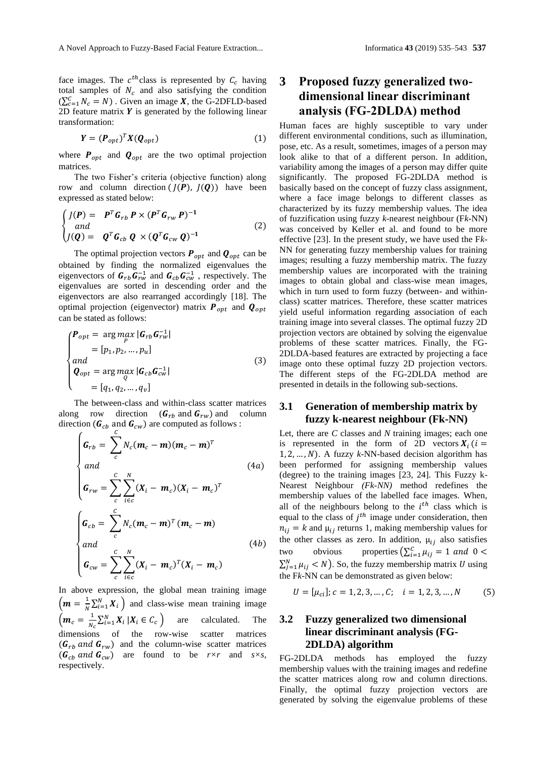face images. The  $c^{th}$ class is represented by  $C_c$  having total samples of  $N_c$  and also satisfying the condition  $(\sum_{c=1}^{C} N_c = N)$ . Given an image **X**, the G-2DFLD-based 2D feature matrix  $Y$  is generated by the following linear transformation:

$$
\mathbf{Y} = (\mathbf{P}_{opt})^T \mathbf{X} (\mathbf{Q}_{opt})
$$
 (1)

where  $P_{opt}$  and  $Q_{opt}$  are the two optimal projection matrices.

The two Fisher's criteria (objective function) along row and column direction  $(J(P), J(Q))$  have been expressed as stated below:

$$
\begin{cases}\nJ(P) = P^T G_{rb} P \times (P^T G_{rw} P)^{-1} \\
and \\
J(Q) = Q^T G_{cb} Q \times (Q^T G_{cw} Q)^{-1}\n\end{cases}
$$
\n(2)

The optimal projection vectors  $P_{opt}$  and  $Q_{opt}$  can be obtained by finding the normalized eigenvalues the eigenvectors of  $G_{rb}G_{rw}^{-1}$  and  $G_{cb}G_{cw}^{-1}$ , respectively. The eigenvalues are sorted in descending order and the eigenvectors are also rearranged accordingly [18]. The optimal projection (eigenvector) matrix  $P_{opt}$  and  $Q_{opt}$ can be stated as follows:

$$
\begin{cases}\nP_{opt} = \arg\max_{P} |G_{rb} G_{rw}^{-1}| \\
= [p_1, p_2, ..., p_u] \\
and \\
Q_{opt} = \arg\max_{Q} |G_{cb} G_{cw}^{-1}| \\
= [q_1, q_2, ..., q_v]\n\end{cases} \tag{3}
$$

The between-class and within-class scatter matrices along row direction  $(G_{rb} \text{ and } G_{rw})$  and column direction ( $\boldsymbol{G}_{cb}$  and  $\boldsymbol{G}_{cw}$ ) are computed as follows :

$$
\begin{cases}\n\mathbf{G}_{rb} = \sum_{c}^{c} N_c (\mathbf{m}_c - \mathbf{m}) (\mathbf{m}_c - \mathbf{m})^T \\
and \\
\mathbf{G}_{rw} = \sum_{c}^{c} \sum_{i \in c}^{N} (X_i - \mathbf{m}_c) (X_i - \mathbf{m}_c)^T \\
\mathbf{G}_{cb} = \sum_{c}^{C} N_c (\mathbf{m}_c - \mathbf{m})^T (\mathbf{m}_c - \mathbf{m}) \\
and \\
\mathbf{G}_{cw} = \sum_{c}^{C} \sum_{i \in c}^{N} (X_i - \mathbf{m}_c)^T (X_i - \mathbf{m}_c)\n\end{cases} (4b)
$$

In above expression, the global mean training image  $\left( m = \frac{1}{N} \right)$  $\frac{1}{N} \sum_{i=1}^{N} X_i$  and class-wise mean training image  $\left( \boldsymbol{m}_{c}=\frac{1}{N}\right)$  $\frac{1}{N_c} \sum_{i=1}^{N} X_i | X_i \in C_c$  are calculated. The dimensions of the row-wise scatter matrices  $(G_{rb} \text{ and } G_{rw})$  and the column-wise scatter matrices  $(G_{ch} \text{ and } G_{cw})$  are found to be  $r \times r$  and  $s \times s$ , respectively.

## **3 Proposed fuzzy generalized twodimensional linear discriminant analysis (FG-2DLDA) method**

Human faces are highly susceptible to vary under different environmental conditions, such as illumination, pose, etc. As a result, sometimes, images of a person may look alike to that of a different person. In addition, variability among the images of a person may differ quite significantly. The proposed FG-2DLDA method is basically based on the concept of fuzzy class assignment, where a face image belongs to different classes as characterized by its fuzzy membership values. The idea of fuzzification using fuzzy *k*-nearest neighbour (F*k*-NN) was conceived by Keller et al. and found to be more effective [23]. In the present study, we have used the F*k*-NN for generating fuzzy membership values for training images; resulting a fuzzy membership matrix. The fuzzy membership values are incorporated with the training images to obtain global and class-wise mean images, which in turn used to form fuzzy (between- and withinclass) scatter matrices. Therefore, these scatter matrices yield useful information regarding association of each training image into several classes. The optimal fuzzy 2D projection vectors are obtained by solving the eigenvalue problems of these scatter matrices. Finally, the FG-2DLDA-based features are extracted by projecting a face image onto these optimal fuzzy 2D projection vectors. The different steps of the FG-2DLDA method are presented in details in the following sub-sections.

#### **3.1 Generation of membership matrix by fuzzy k-nearest neighbour (Fk-NN)**

Let, there are *C* classes and *N* training images; each one is represented in the form of 2D vectors  $X_i$  ( $i =$ 1, 2, ...,  $N$ ). A fuzzy  $k$ -NN-based decision algorithm has been performed for assigning membership values (degree) to the training images [23, 24]. This Fuzzy k-Nearest Neighbour *(Fk-NN)* method redefines the membership values of the labelled face images. When, all of the neighbours belong to the  $i<sup>th</sup>$  class which is equal to the class of  $j<sup>th</sup>$  image under consideration, then  $n_{ij} = k$  and  $\mu_{ij}$  returns 1, making membership values for the other classes as zero. In addition,  $\mu_{ij}$  also satisfies two obvious properties  $\left(\sum_{i=1}^{C} \mu_{ij}\right) = 1$  and  $0 <$  $\sum_{j=1}^{N} \mu_{ij} < N$ ). So, the fuzzy membership matrix U using the F*k*-NN can be demonstrated as given below:

$$
U = [\mu_{ci}]; c = 1, 2, 3, ..., C; \quad i = 1, 2, 3, ..., N \tag{5}
$$

### **3.2 Fuzzy generalized two dimensional linear discriminant analysis (FG-2DLDA) algorithm**

FG-2DLDA methods has employed the fuzzy membership values with the training images and redefine the scatter matrices along row and column directions. Finally, the optimal fuzzy projection vectors are generated by solving the eigenvalue problems of these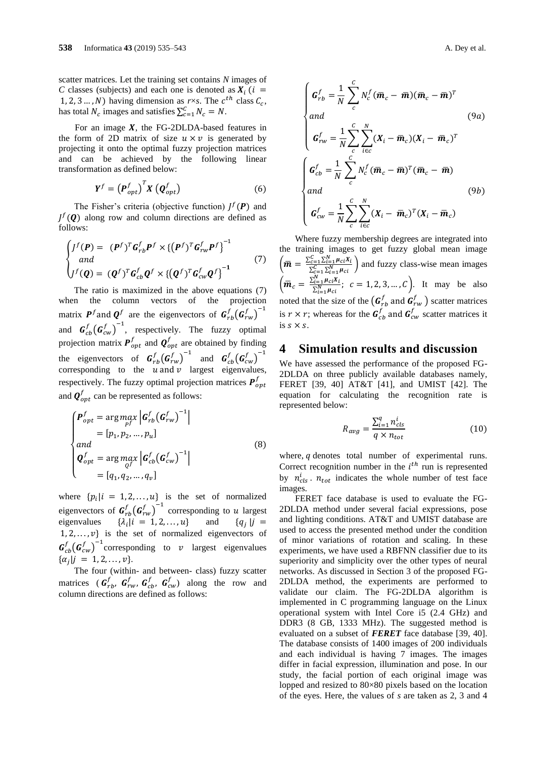scatter matrices. Let the training set contains *N* images of *C* classes (subjects) and each one is denoted as  $X_i$  ( $i =$ 1, 2, 3 ..., *N*) having dimension as *r*×*s*. The  $c^{th}$  class  $C_c$ , has total  $N_c$  images and satisfies  $\sum_{c=1}^{C} N_c = N$ .

For an image  $X$ , the FG-2DLDA-based features in the form of 2D matrix of size  $u \times v$  is generated by projecting it onto the optimal fuzzy projection matrices and can be achieved by the following linear transformation as defined below:

$$
Y^f = \left(P_{opt}^f\right)^T X \left(Q_{opt}^f\right) \tag{6}
$$

The Fisher's criteria (objective function)  $J^f(P)$  and  $J^f(\mathbf{Q})$  along row and column directions are defined as follows:

$$
\begin{cases}\nJ^f(P) = (P^f)^T G_{rb}^f P^f \times \{ (P^f)^T G_{rw}^f P^f \}^{-1} \\
and \\
J^f(Q) = (Q^f)^T G_{cb}^f Q^f \times \{ (Q^f)^T G_{cw}^f Q^f \}^{-1}\n\end{cases}
$$
\n(7)

The ratio is maximized in the above equations (7) when the column vectors of the projection matrix  $P^f$  and  $Q^f$  are the eigenvectors of  $G_{rb}^f (G_{rw}^f)^{-1}$ and  $\mathbf{G}_{cb}^{f}(\mathbf{G}_{cw}^{f})^{-1}$ , respectively. The fuzzy optimal projection matrix  $P_{opt}^f$  and  $Q_{opt}^f$  are obtained by finding the eigenvectors of  $\mathbf{G}_{rb}^f(\mathbf{G}_{rw}^f)^{-1}$  and  $\mathbf{G}_{cb}^f(\mathbf{G}_{cw}^f)^{-1}$ corresponding to the  $u$  and  $v$  largest eigenvalues, respectively. The fuzzy optimal projection matrices  $\boldsymbol{P}_{opt}^{f}$ and  $\boldsymbol{Q}_{opt}^f$  can be represented as follows:

$$
\begin{cases}\nP_{opt}^f = \arg \max_{pf} \left| G_{rb}^f (G_{rw}^f)^{-1} \right| \\
= [p_1, p_2, ..., p_u] \\
and \\
Q_{opt}^f = \arg \max_{Q^f} \left| G_{cb}^f (G_{cw}^f)^{-1} \right| \\
= [q_1, q_2, ..., q_v]\n\end{cases} \tag{8}
$$

where  $\{p_i | i = 1, 2, ..., u\}$  is the set of normalized eigenvectors of  $\mathbf{G}_{rb}^f(\mathbf{G}_{rw}^f)^{-1}$  corresponding to u largest eigenvalues {  $\{\lambda_i | i = 1, 2, ..., u\}$  and  ${q_i | j =$  $1, 2, \ldots, v\}$  is the set of normalized eigenvectors of  ${\bf G}_{cb}^f({\bf G}_{cw}^f)^{-1}$ corresponding to v largest eigenvalues  $\{\alpha_j | j = 1, 2, ..., v\}.$ 

The four (within- and between- class) fuzzy scatter matrices  $(G_{rb}^f, G_{rw}^f, G_{cb}^f, G_{cw}^f)$  along the row and column directions are defined as follows:

$$
\begin{cases}\n\mathbf{G}_{rb}^f = \frac{1}{N} \sum_{c}^{C} N_c^f (\overline{\mathbf{m}}_c - \overline{\mathbf{m}}) (\overline{\mathbf{m}}_c - \overline{\mathbf{m}})^T \\
and \\
\mathbf{G}_{rw}^f = \frac{1}{N} \sum_{c}^{C} \sum_{i \in c}^{N} (\mathbf{X}_i - \overline{\mathbf{m}}_c) (\mathbf{X}_i - \overline{\mathbf{m}}_c)^T \\
\mathbf{G}_{cb}^f = \frac{1}{N} \sum_{c}^{C} N_c^f (\overline{\mathbf{m}}_c - \overline{\mathbf{m}})^T (\overline{\mathbf{m}}_c - \overline{\mathbf{m}}) \\
and \\
\mathbf{G}_{cw}^f = \frac{1}{N} \sum_{c}^{C} \sum_{i \in c}^{N} (\mathbf{X}_i - \overline{\mathbf{m}}_c)^T (\mathbf{X}_i - \overline{\mathbf{m}}_c)\n\end{cases}
$$
\n(9b)

Where fuzzy membership degrees are integrated into the training images to get fuzzy global mean image  $\left(\bar{\bm{m}} = \frac{\sum_{c=1}^{C} \sum_{i=1}^{N} \mu_{ci}X_i}{\sum_{c}^{C} \sum_{c}^{N}}\right)$  $\frac{C=1 \angle i=1 \frac{\mu_{ci} \lambda_i}{\sum_{c=1}^{N} \sum_{i=1}^{N} \mu_{ci}}$  and fuzzy class-wise mean images  $\left(\bar{m}_c = \frac{\sum_{i=1}^{N} \mu_{ci} x_i}{\sum_{i=1}^{N} \mu_{ci}}\right); \quad c = 1, 2, 3, ..., C$ . It may be also noted that the size of the  $(G_{rb}^f$  and  $G_{rw}^f)$  scatter matrices is  $r \times r$ ; whereas for the  $\mathbf{G}_{cb}^f$  and  $\mathbf{G}_{cw}^f$  scatter matrices it is  $s \times s$ .

### **4 Simulation results and discussion**

We have assessed the performance of the proposed FG-2DLDA on three publicly available databases namely, FERET [39, 40] AT&T [41], and UMIST [42]. The equation for calculating the recognition rate is represented below:

$$
R_{avg} = \frac{\sum_{i=1}^{q} n_{cls}^{i}}{q \times n_{tot}}
$$
 (10)

where,  $q$  denotes total number of experimental runs. Correct recognition number in the  $i<sup>th</sup>$  run is represented by  $n_{cls}^{i}$ .  $n_{tot}$  indicates the whole number of test face images.

FERET face database is used to evaluate the FG-2DLDA method under several facial expressions, pose and lighting conditions. AT&T and UMIST database are used to access the presented method under the condition of minor variations of rotation and scaling. In these experiments, we have used a RBFNN classifier due to its superiority and simplicity over the other types of neural networks. As discussed in Section 3 of the proposed FG-2DLDA method, the experiments are performed to validate our claim. The FG-2DLDA algorithm is implemented in C programming language on the Linux operational system with Intel Core i5 (2.4 GHz) and DDR3 (8 GB, 1333 MHz). The suggested method is evaluated on a subset of *FERET* face database [39, 40]. The database consists of 1400 images of 200 individuals and each individual is having 7 images. The images differ in facial expression, illumination and pose. In our study, the facial portion of each original image was lopped and resized to 80×80 pixels based on the location of the eyes. Here, the values of *s* are taken as 2, 3 and 4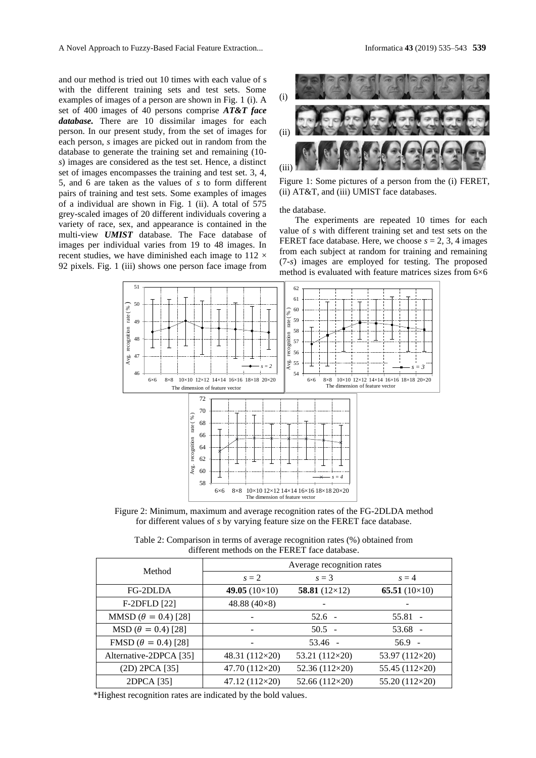and our method is tried out 10 times with each value of s with the different training sets and test sets. Some examples of images of a person are shown in Fig. 1 (i). A set of 400 images of 40 persons comprise *AT&T face database.* There are 10 dissimilar images for each person. In our present study, from the set of images for each person, *s* images are picked out in random from the database to generate the training set and remaining (10 *s*) images are considered as the test set. Hence, a distinct set of images encompasses the training and test set. 3, 4, 5, and 6 are taken as the values of *s* to form different pairs of training and test sets. Some examples of images of a individual are shown in Fig. 1 (ii). A total of 575 grey-scaled images of 20 different individuals covering a variety of race, sex, and appearance is contained in the multi-view *UMIST* database. The Face database of images per individual varies from 19 to 48 images. In recent studies, we have diminished each image to  $112 \times$ 92 pixels. Fig. 1 (iii) shows one person face image from



Figure 1: Some pictures of a person from the (i) FERET, (ii) AT&T, and (iii) UMIST face databases.

the database.

The experiments are repeated 10 times for each value of *s* with different training set and test sets on the FERET face database. Here, we choose  $s = 2, 3, 4$  images from each subject at random for training and remaining (7-*s*) images are employed for testing. The proposed method is evaluated with feature matrices sizes from 6×6



Figure 2: Minimum, maximum and average recognition rates of the FG-2DLDA method for different values of *s* by varying feature size on the FERET face database.

Table 2: Comparison in terms of average recognition rates (%) obtained from different methods on the FERET face database.

| Method                       | Average recognition rates |                       |                      |  |  |
|------------------------------|---------------------------|-----------------------|----------------------|--|--|
|                              | $s = 2$                   | $s = 3$               | $s = 4$              |  |  |
| FG-2DLDA                     | 49.05 $(10\times10)$      | 58.81 $(12\times12)$  | 65.51 $(10\times10)$ |  |  |
| F-2DFLD [22]                 | 48.88 $(40\times8)$       |                       |                      |  |  |
| MMSD ( $\theta = 0.4$ ) [28] |                           | $52.6 -$              | $55.81 -$            |  |  |
| $MSD (\theta = 0.4)$ [28]    |                           | $50.5 -$              | $53.68 -$            |  |  |
| FMSD ( $\theta = 0.4$ ) [28] |                           | $53.46 -$             | $56.9 -$             |  |  |
| Alternative-2DPCA [35]       | 48.31 (112×20)            | 53.21 (112×20)        | 53.97 (112×20)       |  |  |
| (2D) 2PCA [35]               | 47.70 (112×20)            | 52.36 (112×20)        | 55.45 (112×20)       |  |  |
| 2DPCA [35]                   | $47.12(112\times20)$      | 52.66 $(112\times20)$ | 55.20 (112×20)       |  |  |

\*Highest recognition rates are indicated by the bold values.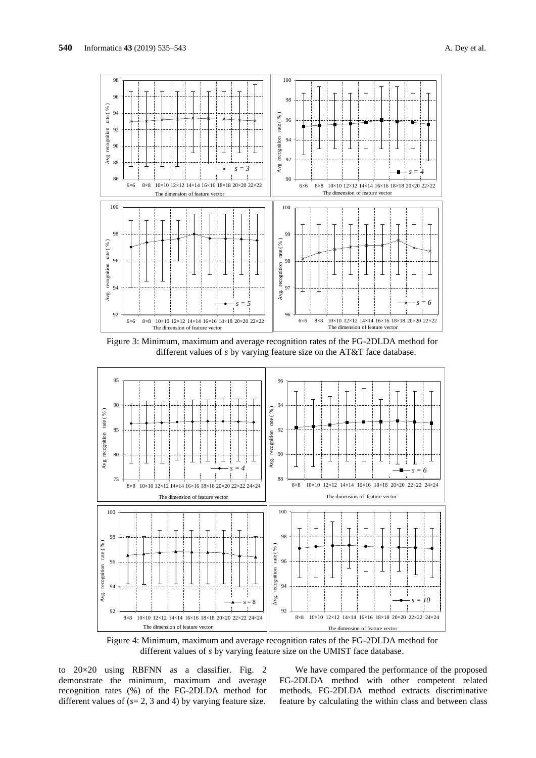

Figure 3: Minimum, maximum and average recognition rates of the FG-2DLDA method for different values of *s* by varying feature size on the AT&T face database.



Figure 4: Minimum, maximum and average recognition rates of the FG-2DLDA method for different values of *s* by varying feature size on the UMIST face database.

to 20×20 using RBFNN as a classifier. Fig. 2 demonstrate the minimum, maximum and average recognition rates (%) of the FG-2DLDA method for different values of  $(s=2, 3 \text{ and } 4)$  by varying feature size.

We have compared the performance of the proposed FG-2DLDA method with other competent related methods. FG-2DLDA method extracts discriminative feature by calculating the within class and between class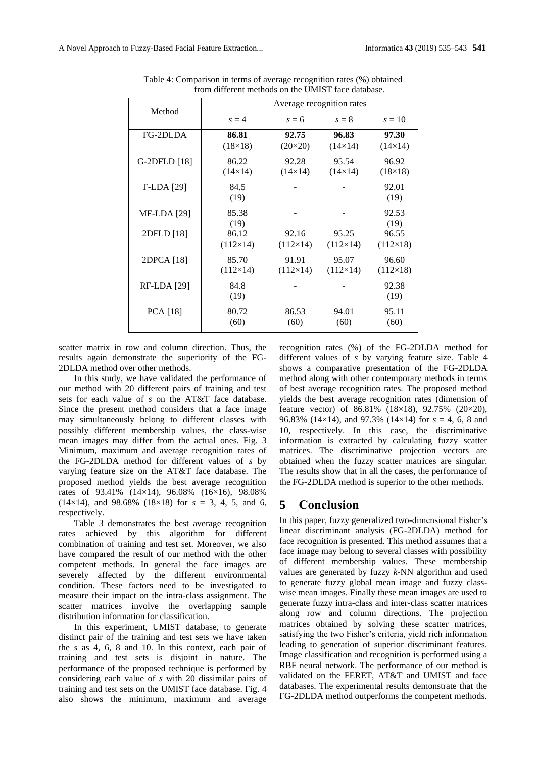| Method             | Average recognition rates |                  |                 |                 |  |
|--------------------|---------------------------|------------------|-----------------|-----------------|--|
|                    | $s = 4$                   | $s = 6$          | $s=8$           | $s=10$          |  |
| FG-2DLDA           | 86.81                     | 92.75            | 96.83           | 97.30           |  |
|                    | $(18\times18)$            | $(20 \times 20)$ | $(14\times14)$  | $(14\times14)$  |  |
| G-2DFLD [18]       | 86.22                     | 92.28            | 95.54           | 96.92           |  |
|                    | $(14\times14)$            | $(14\times14)$   | $(14\times14)$  | $(18\times18)$  |  |
| F-LDA [29]         | 84.5<br>(19)              |                  |                 | 92.01<br>(19)   |  |
| <b>MF-LDA</b> [29] | 85.38<br>(19)             |                  |                 | 92.53<br>(19)   |  |
| 2DFLD [18]         | 86.12                     | 92.16            | 95.25           | 96.55           |  |
|                    | $(112\times14)$           | $(112\times14)$  | $(112\times14)$ | $(112\times18)$ |  |
| 2DPCA [18]         | 85.70                     | 91.91            | 95.07           | 96.60           |  |
|                    | $(112\times14)$           | $(112\times14)$  | $(112\times14)$ | $(112\times18)$ |  |
| <b>RF-LDA</b> [29] | 84.8<br>(19)              |                  |                 | 92.38<br>(19)   |  |
| <b>PCA</b> [18]    | 80.72                     | 86.53            | 94.01           | 95.11           |  |
|                    | (60)                      | (60)             | (60)            | (60)            |  |

Table 4: Comparison in terms of average recognition rates (%) obtained from different methods on the UMIST face database.

scatter matrix in row and column direction. Thus, the results again demonstrate the superiority of the FG-2DLDA method over other methods.

In this study, we have validated the performance of our method with 20 different pairs of training and test sets for each value of *s* on the AT&T face database. Since the present method considers that a face image may simultaneously belong to different classes with possibly different membership values, the class-wise mean images may differ from the actual ones. Fig. 3 Minimum, maximum and average recognition rates of the FG-2DLDA method for different values of *s* by varying feature size on the AT&T face database. The proposed method yields the best average recognition rates of 93.41% (14×14), 96.08% (16×16), 98.08%  $(14\times14)$ , and 98.68%  $(18\times18)$  for  $s = 3, 4, 5$ , and 6, respectively.

Table 3 demonstrates the best average recognition rates achieved by this algorithm for different combination of training and test set. Moreover, we also have compared the result of our method with the other competent methods. In general the face images are severely affected by the different environmental values are generated by the different environmental  $\frac{1}{2}$  to generate fuzzy condition. These factors need to be investigated to measure their impact on the intra-class assignment. The scatter matrices involve the overlapping sample distribution information for classification.

In this experiment, UMIST database, to generate distinct pair of the training and test sets we have taken the *s* as 4, 6, 8 and 10. In this context, each pair of training and test sets is disjoint in nature. The performance of the proposed technique is performed by considering each value of *s* with 20 dissimilar pairs of training and test sets on the UMIST face database. Fig. 4 also shows the minimum, maximum and average recognition rates (%) of the FG-2DLDA method for different values of *s* by varying feature size. Table 4 shows a comparative presentation of the FG-2DLDA method along with other contemporary methods in terms of best average recognition rates. The proposed method yields the best average recognition rates (dimension of feature vector) of  $86.81\%$  ( $18\times18$ ),  $92.75\%$  ( $20\times20$ ), 96.83% (14×14), and 97.3% (14×14) for *s* = 4, 6, 8 and 10, respectively. In this case, the discriminative information is extracted by calculating fuzzy scatter matrices. The discriminative projection vectors are obtained when the fuzzy scatter matrices are singular. The results show that in all the cases, the performance of the FG-2DLDA method is superior to the other methods.

### **5 Conclusion**

In this paper, fuzzy generalized two-dimensional Fisher's linear discriminant analysis (FG-2DLDA) method for face recognition is presented. This method assumes that a face image may belong to several classes with possibility of different membership values. These membership values are generated by fuzzy *k*-NN algorithm and used to generate fuzzy global mean image and fuzzy classwise mean images. Finally these mean images are used to generate fuzzy intra-class and inter-class scatter matrices along row and column directions. The projection matrices obtained by solving these scatter matrices, satisfying the two Fisher's criteria, yield rich information leading to generation of superior discriminant features. Image classification and recognition is performed using a RBF neural network. The performance of our method is validated on the FERET, AT&T and UMIST and face databases. The experimental results demonstrate that the FG-2DLDA method outperforms the competent methods.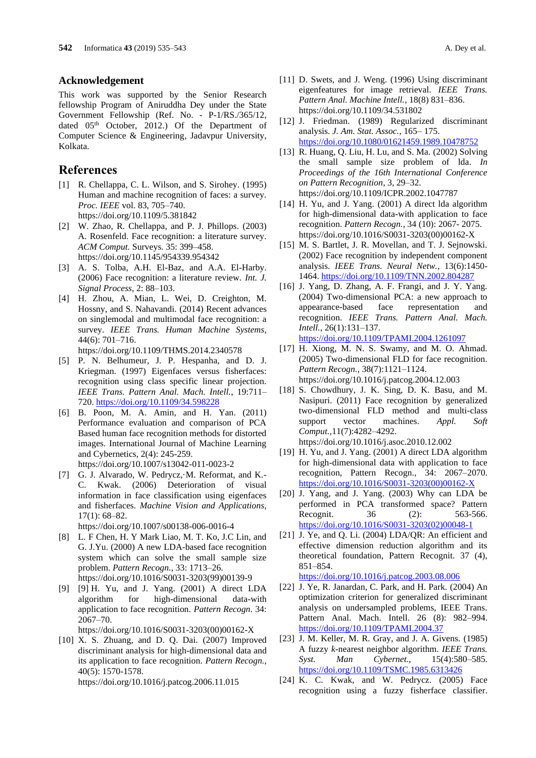#### **Acknowledgement**

This work was supported by the Senior Research fellowship Program of Aniruddha Dey under the State Government Fellowship (Ref. No. - P-1/RS./365/12, dated 05<sup>th</sup> October, 2012.) Of the Department of Computer Science & Engineering*,* Jadavpur University, Kolkata.

#### **References**

- [1] R. Chellappa, C. L. Wilson, and S. Sirohey. (1995) Human and machine recognition of faces: a survey. *Proc. IEEE* vol. 83, 705–740. <https://doi.org/10.1109/5.381842>
- [2] W. Zhao, R. Chellappa, and P. J. Phillops. (2003) A. Rosenfeld. Face recognition: a literature survey. *ACM Comput.* Surveys. 35: 399–458. <https://doi.org/10.1145/954339.954342>
- [3] A. S. Tolba, A.H. El-Baz, and A.A. El-Harby. (2006) Face recognition: a literature review. *Int. J. Signal Process*, 2: 88–103.
- [4] H. Zhou, A. Mian, L. Wei, D. Creighton, M. Hossny, and S. Nahavandi. (2014) Recent advances on singlemodal and multimodal face recognition: a survey. *IEEE Trans. Human Machine Systems*, 44(6): 701–716.

<https://doi.org/10.1109/THMS.2014.2340578>

- [5] P. N. Belhumeur, J. P. Hespanha, and D. J. Kriegman. (1997) Eigenfaces versus fisherfaces: recognition using class specific linear projection. *IEEE Trans. Pattern Anal. Mach. Intell.*, 19:711– 720. <https://doi.org/10.1109/34.598228>
- [6] B. Poon, M. A. Amin, and H. Yan. (2011) Performance evaluation and comparison of PCA Based human face recognition methods for distorted images. International Journal of Machine Learning and Cybernetics, 2(4): 245-259. <https://doi.org/10.1007/s13042-011-0023-2>
- [7] G. J. Alvarado, W. Pedrycz,·M. Reformat, and K.- C. Kwak. (2006) Deterioration of visual information in face classification using eigenfaces and fisherfaces. *Machine Vision and Applications*, 17(1): 68–82.

<https://doi.org/10.1007/s00138-006-0016-4>

- [8] L. F Chen, H. Y Mark Liao, M. T. Ko, J.C Lin, and G. J.Yu. (2000) A new LDA-based face recognition system which can solve the small sample size problem. *Pattern Recogn.*, 33: 1713–26. [https://doi.org/10.1016/S0031-3203\(99\)00139-9](https://doi.org/10.1016/S0031-3203(99)00139-9)
- [9] [9] H. Yu, and J. Yang. (2001) A direct LDA algorithm for high-dimensional data-with application to face recognition. *Pattern Recogn*. 34: 2067–70.

[https://doi.org/10.1016/S0031-3203\(00\)00162-X](https://doi.org/10.1016/S0031-3203(00)00162-X)

[10] X. S. Zhuang, and D. Q. Dai. (2007) Improved discriminant analysis for high-dimensional data and its application to face recognition. *Pattern Recogn.*, 40(5): 1570-1578. <https://doi.org/10.1016/j.patcog.2006.11.015>

- [11] D. Swets, and J. Weng. (1996) Using discriminant eigenfeatures for image retrieval. *IEEE Trans. Pattern Anal. Machine Intell.*, 18(8) 831–836. <https://doi.org/10.1109/34.531802>
- [12] J. Friedman. (1989) Regularized discriminant analysis. *J. Am. Stat. Assoc.*, 165– 175. <https://doi.org/10.1080/01621459.1989.10478752>
- [13] R. Huang, Q. Liu, H. Lu, and S. Ma. (2002) Solving the small sample size problem of lda. *In Proceedings of the 16th International Conference on Pattern Recognition*, 3, 29–32. <https://doi.org/10.1109/ICPR.2002.1047787>
- [14] H. Yu, and J. Yang. (2001) A direct lda algorithm for high-dimensional data-with application to face recognition. *Pattern Recogn.*, 34 (10): 2067- 2075. [https://doi.org/10.1016/S0031-3203\(00\)00162-X](https://doi.org/10.1016/S0031-3203(00)00162-X)
- [15] M. S. Bartlet, J. R. Movellan, and T. J. Sejnowski. (2002) Face recognition by independent component analysis. *IEEE Trans. Neural Netw.*, 13(6):1450- 1464. <https://doi.org/10.1109/TNN.2002.804287>
- [16] J. Yang, D. Zhang, A. F. Frangi, and J. Y. Yang. (2004) Two-dimensional PCA: a new approach to appearance-based face representation and recognition. *IEEE Trans. Pattern Anal. Mach. Intell.*, 26(1):131–137. <https://doi.org/10.1109/TPAMI.2004.1261097>

[17] H. Xiong, M. N. S. Swamy, and M. O. Ahmad.

- (2005) Two-dimensional FLD for face recognition. *Pattern Recogn.*, 38(7):1121–1124. <https://doi.org/10.1016/j.patcog.2004.12.003>
- [18] S. Chowdhury, J. K. Sing, D. K. Basu, and M. Nasipuri. (2011) Face recognition by generalized two-dimensional FLD method and multi-class support vector machines. *Appl. Soft Comput.*,11(7):4282–4292. <https://doi.org/10.1016/j.asoc.2010.12.002>
- [19] H. Yu, and J. Yang. (2001) A direct LDA algorithm for high-dimensional data with application to face recognition, Pattern Recogn., 34: 2067–2070. [https://doi.org/10.1016/S0031-3203\(00\)00162-X](https://doi.org/10.1016/S0031-3203(00)00162-X)
- [20] J. Yang, and J. Yang. (2003) Why can LDA be performed in PCA transformed space? Pattern Recognit. 36 (2): 563-566. [https://doi.org/10.1016/S0031-3203\(02\)00048-1](https://doi.org/10.1016/S0031-3203(02)00048-1)
- [21] J. Ye, and Q. Li. (2004) LDA/QR: An efficient and effective dimension reduction algorithm and its theoretical foundation, Pattern Recognit. 37 (4), 851–854.

<https://doi.org/10.1016/j.patcog.2003.08.006>

- [22] J. Ye, R. Janardan, C. Park, and H. Park. (2004) An optimization criterion for generalized discriminant analysis on undersampled problems, IEEE Trans. Pattern Anal. Mach. Intell. 26 (8): 982–994. <https://doi.org/10.1109/TPAMI.2004.37>
- [23] J. M. Keller, M. R. Gray, and J. A. Givens. (1985) A fuzzy *k*-nearest neighbor algorithm. *IEEE Trans. Syst. Man Cybernet.*, 15(4):580–585. <https://doi.org/10.1109/TSMC.1985.6313426>
- [24] K. C. Kwak, and W. Pedrycz. (2005) Face recognition using a fuzzy fisherface classifier.